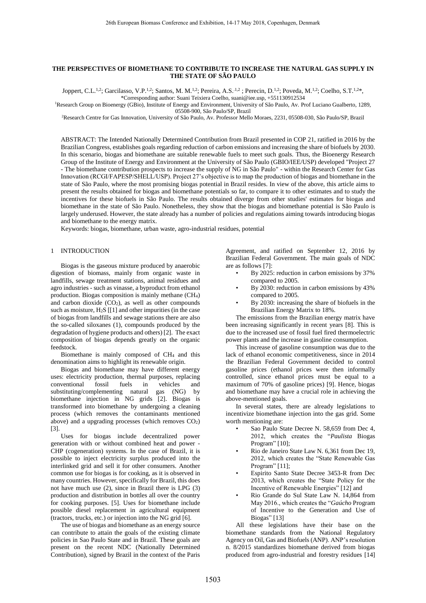## **THE PERSPECTIVES OF BIOMETHANE TO CONTRIBUTE TO INCREASE THE NATURAL GAS SUPPLY IN THE STATE OF SÃO PAULO**

Joppert, C.L.<sup>1,2</sup>; Garcilasso, V.P.<sup>1,2</sup>; Santos, M. M.<sup>1,2</sup>; Pereira, A.S.<sup>1,2</sup>; Perecin, D.<sup>1,2</sup>; Poveda, M.<sup>1,2</sup>; Coelho, S.T.<sup>1,2\*</sup>,

\*Corresponding author: Suani Teixiera Coelho, suani@iee.usp, +551130912534 <sup>1</sup>Research Group on Bioenergy (GBio), Institute of Energy and Environment, University of São Paulo, Av. Prof Luciano Gualberto, 1289,

05508-900, São Paulo/SP, Brazil

<sup>2</sup>Research Centre for Gas Innovation, University of São Paulo, Av. Professor Mello Moraes, 2231, 05508-030, São Paulo/SP, Brazil

ABSTRACT: The Intended Nationally Determined Contribution from Brazil presented in COP 21, ratified in 2016 by the Brazilian Congress, establishes goals regarding reduction of carbon emissions and increasing the share of biofuels by 2030. In this scenario, biogas and biomethane are suitable renewable fuels to meet such goals. Thus, the Bioenergy Research Group of the Institute of Energy and Environment at the University of São Paulo (GBIO/IEE/USP) developed "Project 27 - The biomethane contribution prospects to increase the supply of NG in São Paulo" - within the Research Center for Gas Innovation (RCGI/FAPESP/SHELL/USP). Project 27's objective is to map the production of biogas and biomethane in the state of São Paulo, where the most promising biogas potential in Brazil resides. In view of the above, this article aims to present the results obtained for biogas and biomethane potentials so far, to compare it to other estimates and to study the incentives for these biofuels in São Paulo. The results obtained diverge from other studies' estimates for biogas and biomethane in the state of São Paulo. Nonetheless, they show that the biogas and biomethane potential is São Paulo is largely underused. However, the state already has a number of policies and regulations aiming towards introducing biogas and biomethane to the energy matrix.

Keywords: biogas, biomethane, urban waste, agro-industrial residues, potential

# 1 INTRODUCTION

Biogas is the gaseous mixture produced by anaerobic digestion of biomass, mainly from organic waste in landfills, sewage treatment stations, animal residues and agro industries - such as vinasse, a byproduct from ethanol production. Biogas composition is mainly methane (CH4) and carbon dioxide  $(CO<sub>2</sub>)$ , as well as other compounds such as moisture,  $H_2S$  [[1] and other impurities (in the case of biogas from landfills and sewage stations there are also the so-called siloxanes (1), compounds produced by the degradation of hygiene products and others) [2]. The exact composition of biogas depends greatly on the organic feedstock.

Biomethane is mainly composed of CH<sup>4</sup> and this denomination aims to highlight its renewable origin.

Biogas and biomethane may have different energy uses: electricity production, thermal purposes, replacing conventional fossil fuels in vehicles and substituting/complementing natural gas (NG) by biomethane injection in NG grids [2]. Biogas is transformed into biomethane by undergoing a cleaning process (which removes the contaminants mentioned above) and a upgrading processes (which removes  $CO<sub>2</sub>$ ) [3].

Uses for biogas include decentralized power generation with or without combined heat and power - CHP (cogeneration) systems. In the case of Brazil, it is possible to inject electricity surplus produced into the interlinked grid and sell it for other consumers. Another common use for biogas is for cooking, as it is observed in many countries. However, specifically for Brazil, this does not have much use (2), since in Brazil there is LPG (3) production and distribution in bottles all over the country for cooking purposes. [5]. Uses for biomethane include possible diesel replacement in agricultural equipment (tractors, trucks, etc.) or injection into the NG grid [6].

The use of biogas and biomethane as an energy source can contribute to attain the goals of the existing climate policies in Sao Paulo State and in Brazil. These goals are present on the recent NDC (Nationally Determined Contribution), signed by Brazil in the context of the Paris

Agreement, and ratified on September 12, 2016 by Brazilian Federal Government. The main goals of NDC are as follows [7]:

- By 2025: reduction in carbon emissions by 37% compared to 2005.
- By 2030: reduction in carbon emissions by 43% compared to 2005.
- By 2030: increasing the share of biofuels in the Brazilian Energy Matrix to 18%.

The emissions from the Brazilian energy matrix have been increasing significantly in recent years [8]. This is due to the increased use of fossil fuel fired thermoelectric power plants and the increase in gasoline consumption.

This increase of gasoline consumption was due to the lack of ethanol economic competitiveness, since in 2014 the Brazilian Federal Government decided to control gasoline prices (ethanol prices were then informally controlled, since ethanol prices must be equal to a maximum of 70% of gasoline prices) [9]. Hence, biogas and biomethane may have a crucial role in achieving the above-mentioned goals.

In several states, there are already legislations to incentivize biomethane injection into the gas grid. Some worth mentioning are:

- Sao Paulo State Decree N. 58,659 from Dec 4, 2012, which creates the "*Paulista* Biogas Program" [10];
- Rio de Janeiro State Law N. 6,361 from Dec 19, 2012, which creates the "State Renewable Gas Program" [11];
- Espirito Santo State Decree 3453-R from Dec 2013, which creates the "State Policy for the Incentive of Renewable Energies" [12] and
- Rio Grande do Sul State Law N. 14,864 from May 2016., which creates the "*Gaúcho* Program of Incentive to the Generation and Use of Biogas" [13]

All these legislations have their base on the biomethane standards from the National Regulatory Agency on Oil, Gas and Biofuels (ANP). ANP's resolution n. 8/2015 standardizes biomethane derived from biogas produced from agro-industrial and forestry residues [14]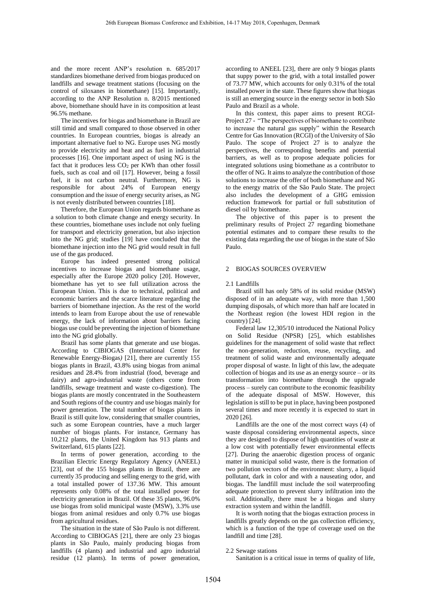and the more recent ANP's resolution n. 685/2017 standardizes biomethane derived from biogas produced on landfills and sewage treatment stations (focusing on the control of siloxanes in biomethane) [15]. Importantly, according to the ANP Resolution n. 8/2015 mentioned above, biomethane should have in its composition at least 96.5% methane.

The incentives for biogas and biomethane in Brazil are still timid and small compared to those observed in other countries. In European countries, biogas is already an important alternative fuel to NG. Europe uses NG mostly to provide electricity and heat and as fuel in industrial processes [16]. One important aspect of using NG is the fact that it produces less CO<sub>2</sub> per KWh than other fossil fuels, such as coal and oil [17]. However, being a fossil fuel, it is not carbon neutral. Furthermore, NG is responsible for about 24% of European energy consumption and the issue of energy security arises, as NG is not evenly distributed between countries [18].

Therefore, the European Union regards biomethane as a solution to both climate change and energy security. In these countries, biomethane uses include not only fueling for transport and electricity generation, but also injection into the NG grid; studies [19] have concluded that the biomethane injection into the NG grid would result in full use of the gas produced.

Europe has indeed presented strong political incentives to increase biogas and biomethane usage, especially after the Europe 2020 policy [20]. However, biomethane has yet to see full utilization across the European Union. This is due to technical, political and economic barriers and the scarce literature regarding the barriers of biomethane injection. As the rest of the world intends to learn from Europe about the use of renewable energy, the lack of information about barriers facing biogas use could be preventing the injection of biomethane into the NG grid globally.

Brazil has some plants that generate and use biogas. According to CIBIOGAS (International Center for Renewable Energy-Biogas*)* [21], there are currently 155 biogas plants in Brazil, 43.8% using biogas from animal residues and 28.4% from industrial (food, beverage and dairy) and agro-industrial waste (others come from landfills, sewage treatment and waste co-digestion). The biogas plants are mostly concentrated in the Southeastern and South regions of the country and use biogas mainly for power generation. The total number of biogas plants in Brazil is still quite low, considering that smaller countries, such as some European countries, have a much larger number of biogas plants. For instance, Germany has 10,212 plants, the United Kingdom has 913 plants and Switzerland, 615 plants [22].

In terms of power generation, according to the Brazilian Electric Energy Regulatory Agency (ANEEL) [23], out of the 155 biogas plants in Brazil, there are currently 35 producing and selling energy to the grid, with a total installed power of 137.36 MW. This amount represents only 0.08% of the total installed power for electricity generation in Brazil. Of these 35 plants, 96.0% use biogas from solid municipal waste (MSW), 3.3% use biogas from animal residues and only 0.7% use biogas from agricultural residues.

The situation in the state of São Paulo is not different. According to CIBIOGAS [21], there are only 23 biogas plants in São Paulo, mainly producing biogas from landfills (4 plants) and industrial and agro industrial residue (12 plants). In terms of power generation,

according to ANEEL [23], there are only 9 biogas plants that suppy power to the grid, with a total installed power of 73.77 MW, which accounts for only 0.31% of the total installed power in the state. These figures show that biogas is still an emerging source in the energy sector in both São Paulo and Brazil as a whole.

In this context, this paper aims to present RCGI-Project 27 - "The perspectives of biomethane to contribute to increase the natural gas supply" within the Research Centre for Gas Innovation (RCGI) of the University of São Paulo. The scope of Project 27 is to analyze the perspectives, the corresponding benefits and potential barriers, as well as to propose adequate policies for integrated solutions using biomethane as a contributor to the offer of NG. It aims to analyze the contribution of those solutions to increase the offer of both biomethane and NG to the energy matrix of the São Paulo State. The project also includes the development of a GHG emission reduction framework for partial or full substitution of diesel oil by biomethane.

The objective of this paper is to present the preliminary results of Project 27 regarding biomethane potential estimates and to compare these results to the existing data regarding the use of biogas in the state of São Paulo.

### 2 BIOGAS SOURCES OVERVIEW

#### 2.1 Landfills

Brazil still has only 58% of its solid residue (MSW) disposed of in an adequate way, with more than 1,500 dumping disposals, of which more than half are located in the Northeast region (the lowest HDI region in the country) [24].

Federal law 12,305/10 introduced the National Policy on Solid Residue (NPSR) [25], which establishes guidelines for the management of solid waste that reflect the non-generation, reduction, reuse, recycling, and treatment of solid waste and environmentally adequate proper disposal of waste. In light of this law, the adequate collection of biogas and its use as an energy source – or its transformation into biomethane through the upgrade process – surely can contribute to the economic feasibility of the adequate disposal of MSW. However, this legislation is still to be put in place, having been postponed several times and more recently it is expected to start in 2020 [26].

Landfills are the one of the most correct ways (4) of waste disposal considering environmental aspects, since they are designed to dispose of high quantities of waste at a low cost with potentially fewer environmental effects [27]. During the anaerobic digestion process of organic matter in municipal solid waste, there is the formation of two pollution vectors of the environment: slurry, a liquid pollutant, dark in color and with a nauseating odor, and biogas. The landfill must include the soil waterproofing adequate protection to prevent slurry infiltration into the soil. Additionally, there must be a biogas and slurry extraction system and within the landfill.

It is worth noting that the biogas extraction process in landfills greatly depends on the gas collection efficiency, which is a function of the type of coverage used on the landfill and time [28].

## 2.2 Sewage stations

Sanitation is a critical issue in terms of quality of life,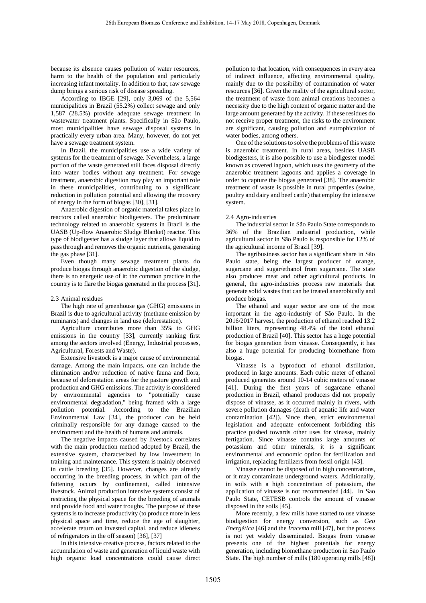because its absence causes pollution of water resources, harm to the health of the population and particularly increasing infant mortality. In addition to that, raw sewage dump brings a serious risk of disease spreading.

According to IBGE [29], only 3,069 of the 5,564 municipalities in Brazil (55.2%) collect sewage and only 1,587 (28.5%) provide adequate sewage treatment in wastewater treatment plants. Specifically in São Paulo, most municipalities have sewage disposal systems in practically every urban area. Many, however, do not yet have a sewage treatment system.

In Brazil, the municipalities use a wide variety of systems for the treatment of sewage. Nevertheless, a large portion of the waste generated still faces disposal directly into water bodies without any treatment. For sewage treatment, anaerobic digestion may play an important role in these municipalities, contributing to a significant reduction in pollution potential and allowing the recovery of energy in the form of biogas [30], [31].

Anaerobic digestion of organic material takes place in reactors called anaerobic biodigesters. The predominant technology related to anaerobic systems in Brazil is the UASB (Up-flow Anaerobic Sludge Blanket) reactor. This type of biodigester has a sludge layer that allows liquid to pass through and removes the organic nutrients, generating the gas phase [31].

Even though many sewage treatment plants do produce biogas through anaerobic digestion of the sludge, there is no energetic use of it: the common practice in the country is to flare the biogas generated in the process [31]**.**

## 2.3 Animal residues

The high rate of greenhouse gas (GHG) emissions in Brazil is due to agricultural activity (methane emission by ruminants) and changes in land use (deforestation).

Agriculture contributes more than 35% to GHG emissions in the country [33], currently ranking first among the sectors involved (Energy, Industrial processes, Agricultural, Forests and Waste).

Extensive livestock is a major cause of environmental damage. Among the main impacts, one can include the elimination and/or reduction of native fauna and flora, because of deforestation areas for the pasture growth and production and GHG emissions. The activity is considered by environmental agencies to "potentially cause environmental degradation," being framed with a large pollution potential. According to the Brazilian Environmental Law [34], the producer can be held criminally responsible for any damage caused to the environment and the health of humans and animals.

The negative impacts caused by livestock correlates with the main production method adopted by Brazil, the extensive system, characterized by low investment in training and maintenance. This system is mainly observed in cattle breeding [35]. However, changes are already occurring in the breeding process, in which part of the fattening occurs by confinement, called intensive livestock. Animal production intensive systems consist of restricting the physical space for the breeding of animals and provide food and water troughs. The purpose of these systems is to increase productivity (to produce more in less physical space and time, reduce the age of slaughter, accelerate return on invested capital, and reduce idleness of refrigerators in the off season) [36], [37]

In this intensive creative process, factors related to the accumulation of waste and generation of liquid waste with high organic load concentrations could cause direct

pollution to that location, with consequences in every area of indirect influence, affecting environmental quality, mainly due to the possibility of contamination of water resources [36]. Given the reality of the agricultural sector, the treatment of waste from animal creations becomes a necessity due to the high content of organic matter and the large amount generated by the activity. If these residues do not receive proper treatment, the risks to the environment are significant, causing pollution and eutrophication of water bodies, among others.

One of the solutions to solve the problems of this waste is anaerobic treatment. In rural areas, besides UASB biodigesters, it is also possible to use a biodigester model known as covered lagoon, which uses the geometry of the anaerobic treatment lagoons and applies a coverage in order to capture the biogas generated [38]. The anaerobic treatment of waste is possible in rural properties (swine, poultry and dairy and beef cattle) that employ the intensive system.

# 2.4 Agro-industries

The industrial sector in São Paulo State corresponds to 36% of the Brazilian industrial production, while agricultural sector in São Paulo is responsible for 12% of the agricultural income of Brazil [39].

The agribusiness sector has a significant share in São Paulo state, being the largest producer of orange, sugarcane and sugar/ethanol from sugarcane. The state also produces meat and other agricultural products. In general, the agro-industries process raw materials that generate solid wastes that can be treated anaerobically and produce biogas.

The ethanol and sugar sector are one of the most important in the agro-industriy of São Paulo. In the 2016/2017 harvest, the production of ethanol reached 13.2 billion liters, representing 48.4% of the total ethanol production of Brazil [40]. This sector has a huge potential for biogas generation from vinasse. Consequently, it has also a huge potential for producing biomethane from biogas.

Vinasse is a byproduct of ethanol distillation, produced in large amounts. Each cubic meter of ethanol produced generates around 10-14 cubic meters of vinasse [41]. During the first years of sugarcane ethanol production in Brazil, ethanol producers did not properly dispose of vinasse, as it occurred mainly in rivers, with severe pollution damages (death of aquatic life and water contamination [42]). Since then, strict environmental legislation and adequate enforcement forbidding this practice pushed towards other uses for vinasse, mainly fertigation. Since vinasse contains large amounts of potassium and other minerals, it is a significant environmental and economic option for fertilization and irrigation, replacing fertilizers from fossil origin [43].

Vinasse cannot be disposed of in high concentrations, or it may contaminate underground waters. Additionally, in soils with a high concentration of potassium, the application of vinasse is not recommended [44]. In Sao Paulo State, CETESB controls the amount of vinasse disposed in the soils [45].

More recently, a few mills have started to use vinasse biodigestion for energy conversion, such as *Geo Energética* [46] and the *Iracema* mill [47]*,* but the process is not yet widely disseminated. Biogas from vinasse presents one of the highest potentials for energy generation, including biomethane production in Sao Paulo State. The high number of mills (180 operating mills [48])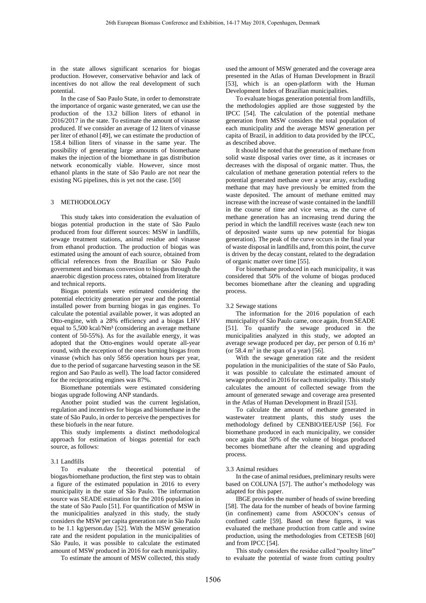in the state allows significant scenarios for biogas production. However, conservative behavior and lack of incentives do not allow the real development of such potential.

In the case of Sao Paulo State, in order to demonstrate the importance of organic waste generated, we can use the production of the 13.2 billion liters of ethanol in 2016/2017 in the state. To estimate the amount of vinasse produced. If we consider an average of 12 liters of vinasse per liter of ethanol [49], we can estimate the production of 158.4 billion liters of vinasse in the same year. The possibility of generating large amounts of biomethane makes the injection of the biomethane in gas distribution network economically viable. However, since most ethanol plants in the state of São Paulo are not near the existing NG pipelines, this is yet not the case. [50]

### 3 METHODOLOGY

This study takes into consideration the evaluation of biogas potential production in the state of São Paulo produced from four different sources: MSW in landfills, sewage treatment stations, animal residue and vinasse from ethanol production. The production of biogas was estimated using the amount of each source, obtained from official references from the Brazilian or São Paulo government and biomass conversion to biogas through the anaerobic digestion process rates, obtained from literature and technical reports.

Biogas potentials were estimated considering the potential electricity generation per year and the potential installed power from burning biogas in gas engines. To calculate the potential available power, it was adopted an Otto-engine, with a 28% efficiency and a biogas LHV equal to 5,500 kcal/Nm<sup>3</sup> (considering an average methane content of 50-55%). As for the available energy, it was adopted that the Otto-engines would operate all-year round, with the exception of the ones burning biogas from vinasse (which has only 5856 operation hours per year, due to the period of sugarcane harvesting season in the SE region and Sao Paulo as well). The load factor considered for the reciprocating engines was 87%.

Biomethane potentials were estimated considering biogas upgrade following ANP standards.

Another point studied was the current legislation, regulation and incentives for biogas and biomethane in the state of São Paulo, in order to perceive the perspectives for these biofuels in the near future.

This study implements a distinct methodological approach for estimation of biogas potential for each source, as follows:

### 3.1 Landfills

To evaluate the theoretical potential of biogas/biomethane production, the first step was to obtain a figure of the estimated population in 2016 to every municipality in the state of São Paulo. The information source was SEADE estimation for the 2016 population in the state of São Paulo [51]. For quantification of MSW in the municipalities analyzed in this study, the study considers the MSW per capita generation rate in São Paulo to be 1.1 kg/person.day [52]. With the MSW generation rate and the resident population in the municipalities of São Paulo, it was possible to calculate the estimated amount of MSW produced in 2016 for each municipality.

To estimate the amount of MSW collected, this study

used the amount of MSW generated and the coverage area presented in the Atlas of Human Development in Brazil [53], which is an open-platform with the Human Development Index of Brazilian municipalities.

To evaluate biogas generation potential from landfills, the methodologies applied are those suggested by the IPCC [54]. The calculation of the potential methane generation from MSW considers the total population of each municipality and the average MSW generation per capita of Brazil, in addition to data provided by the IPCC, as described above.

It should be noted that the generation of methane from solid waste disposal varies over time, as it increases or decreases with the disposal of organic matter. Thus, the calculation of methane generation potential refers to the potential generated methane over a year array, excluding methane that may have previously be emitted from the waste deposited. The amount of methane emitted may increase with the increase of waste contained in the landfill in the course of time and vice versa, as the curve of methane generation has an increasing trend during the period in which the landfill receives waste (each new ton of deposited waste sums up new potential for biogas generation). The peak of the curve occurs in the final year of waste disposal in landfills and, from this point, the curve is driven by the decay constant, related to the degradation of organic matter over time [55].

For biomethane produced in each municipality, it was considered that 50% of the volume of biogas produced becomes biomethane after the cleaning and upgrading process.

### 3.2 Sewage stations

The information for the 2016 population of each municipality of São Paulo came, once again, from SEADE [51]. To quantify the sewage produced in the municipalities analyzed in this study, we adopted an average sewage produced per day, per person of 0.16 m<sup>3</sup> (or 58.4  $m<sup>3</sup>$  in the span of a year) [56].

With the sewage generation rate and the resident population in the municipalities of the state of São Paulo, it was possible to calculate the estimated amount of sewage produced in 2016 for each municipality. This study calculates the amount of collected sewage from the amount of generated sewage and coverage area presented in the Atlas of Human Development in Brazil [53].

To calculate the amount of methane generated in wastewater treatment plants, this study uses the methodology defined by CENBIO/IEE/USP [56]. For biomethane produced in each municipality, we consider once again that 50% of the volume of biogas produced becomes biomethane after the cleaning and upgrading process.

### 3.3 Animal residues

In the case of animal residues, preliminary results were based on COLUNA [57]. The author's methodology was adapted for this paper.

IBGE provides the number of heads of swine breeding [58]. The data for the number of heads of bovine farming (in confinement) came from ASOCON's census of confined cattle [59]. Based on these figures, it was evaluated the methane production from cattle and swine production, using the methodologies from CETESB [60] and from IPCC [54].

This study considers the residue called "poultry litter" to evaluate the potential of waste from cutting poultry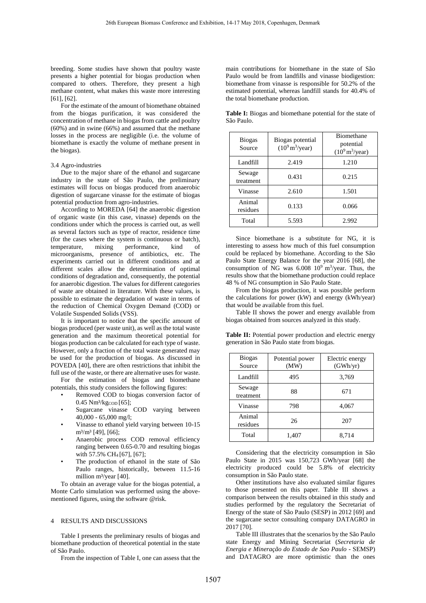breeding. Some studies have shown that poultry waste presents a higher potential for biogas production when compared to others. Therefore, they present a high methane content, what makes this waste more interesting [61], [62].

For the estimate of the amount of biomethane obtained from the biogas purification, it was considered the concentration of methane in biogas from cattle and poultry (60%) and in swine (66%) and assumed that the methane losses in the process are negligible (i.e. the volume of biomethane is exactly the volume of methane present in the biogas).

### 3.4 Agro-industries

Due to the major share of the ethanol and sugarcane industry in the state of São Paulo, the preliminary estimates will focus on biogas produced from anaerobic digestion of sugarcane vinasse for the estimate of biogas potential production from agro-industries.

According to MOREDA [64] the anaerobic digestion of organic waste (in this case, vinasse) depends on the conditions under which the process is carried out, as well as several factors such as type of reactor, residence time (for the cases where the system is continuous or batch), temperature, mixing performance, kind of microorganisms, presence of antibiotics, etc. The experiments carried out in different conditions and at different scales allow the determination of optimal conditions of degradation and, consequently, the potential for anaerobic digestion. The values for different categories of waste are obtained in literature. With these values, is possible to estimate the degradation of waste in terms of the reduction of Chemical Oxygen Demand (COD) or Volatile Suspended Solids (VSS).

It is important to notice that the specific amount of biogas produced (per waste unit), as well as the total waste generation and the maximum theoretical potential for biogas production can be calculated for each type of waste. However, only a fraction of the total waste generated may be used for the production of biogas. As discussed in POVEDA [40], there are often restrictions that inhibit the full use of the waste, or there are alternative uses for waste.

For the estimation of biogas and biomethane potentials, this study considers the following figures:

- Removed COD to biogas conversion factor of  $0.45$  Nm<sup>3</sup>/kgcop [65];
- Sugarcane vinasse COD varying between 40,000 - 65,000 mg/l;
- Vinasse to ethanol yield varying between 10-15  $m^3/m^3$  [49], [66];
- Anaerobic process COD removal efficiency ranging between 0.65-0.70 and resulting biogas with 57.5% CH<sub>4</sub> [67], [67];
- The production of ethanol in the state of São Paulo ranges, historically, between 11.5-16 million m<sup>3</sup>/year [40].

To obtain an average value for the biogas potential, a Monte Carlo simulation was performed using the abovementioned figures, using the software @risk.

# 4 RESULTS AND DISCUSSIONS

Table I presents the preliminary results of biogas and biomethane production of theoretical potential in the state of São Paulo.

From the inspection of Table I, one can assess that the

main contributions for biomethane in the state of São Paulo would be from landfills and vinasse biodigestion: biomethane from vinasse is responsible for 50.2% of the estimated potential, whereas landfill stands for 40.4% of the total biomethane production.

**Table I:** Biogas and biomethane potential for the state of São Paulo.

| <b>Biogas</b><br>Source | Biogas potential<br>$(10^9 \text{ m}^3/\text{year})$ | <b>Biomethane</b><br>potential<br>$(10^9 \text{ m}^3/\text{year})$ |
|-------------------------|------------------------------------------------------|--------------------------------------------------------------------|
| Landfill                | 2.419                                                | 1.210                                                              |
| Sewage<br>treatment     | 0.431                                                | 0.215                                                              |
| Vinasse                 | 2.610                                                | 1.501                                                              |
| Animal<br>residues      | 0.133                                                | 0.066                                                              |
| Total                   | 5.593                                                | 2.992                                                              |

Since biomethane is a substitute for NG, it is interesting to assess how much of this fuel consumption could be replaced by biomethane. According to the São Paulo State Energy Balance for the year 2016 [68], the consumption of NG was  $6.008\,10^9\,\mathrm{m}^3/\mathrm{year}$ . Thus, the results show that the biomethane production could replace 48 % of NG consumption in São Paulo State.

From the biogas production, it was possible perform the calculations for power (kW) and energy (kWh/year) that would be available from this fuel.

Table II shows the power and energy available from biogas obtained from sources analyzed in this study.

**Table II:** Potential power production and electric energy generation in São Paulo state from biogas.

| <b>Biogas</b><br>Source | Potential power<br>(MW) | Electric energy<br>(GWh/yr) |
|-------------------------|-------------------------|-----------------------------|
| Landfill                | 495                     | 3,769                       |
| Sewage<br>treatment     | 88                      | 671                         |
| Vinasse                 | 798                     | 4,067                       |
| Animal<br>residues      | 26                      | 207                         |
| Total                   | 1,407                   | 8,714                       |

Considering that the electricity consumption in São Paulo State in 2015 was 150,723 GWh/year [68] the electricity produced could be 5.8% of electricity consumption in São Paulo state.

Other institutions have also evaluated similar figures to those presented on this paper. Table III shows a comparison between the results obtained in this study and studies performed by the regulatory the Secretariat of Energy of the state of São Paulo (SESP) in 2012 [69] and the sugarcane sector consulting company DATAGRO in 2017 [70].

Table III illustrates that the scenarios by the São Paulo state Energy and Mining Secretariat (*Secretaria de Energia e Mineração do Estado de Sao Paulo* - SEMSP) and DATAGRO are more optimistic than the ones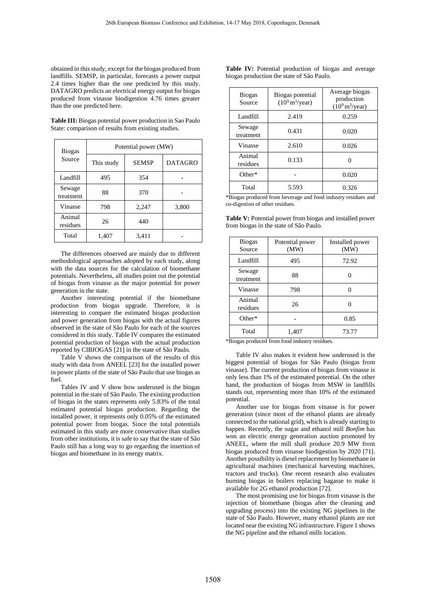obtained in this study, except for the biogas produced from landfills. SEMSP, in particular, forecasts a power output 2.4 times higher than the one predicted by this study. DATAGRO predicts an electrical energy output for biogas produced from vinasse biodigestion 4.76 times greater than the one predicted here.

**Table III:** Biogas potential power production in Sao Paulo State: comparison of results from existing studies.

| <b>Biogas</b><br>Source | Potential power (MW) |              |                |  |  |
|-------------------------|----------------------|--------------|----------------|--|--|
|                         | This study           | <b>SEMSP</b> | <b>DATAGRO</b> |  |  |
| Landfill                | 495                  | 354          |                |  |  |
| Sewage<br>treatment     | 88                   | 370          |                |  |  |
| Vinasse                 | 798                  | 2,247        | 3,800          |  |  |
| Animal<br>residues      | 26                   | 440          |                |  |  |
| Total                   | 1,407                | 3,411        |                |  |  |

The differences observed are mainly due to different methodological approaches adopted by each study, along with the data sources for the calculation of biomethane potentials. Nevertheless, all studies point out the potential of biogas from vinasse as the major potential for power generation in the state.

Another interesting potential if the biomethane production from biogas upgrade. Therefore, it is interesting to compare the estimated biogas production and power generation from biogas with the actual figures observed in the state of São Paulo for each of the sources considered in this study. Table IV compares the estimated potential production of biogas with the actual production reported by CIBIOGAS [21] in the state of São Paulo.

Table V shows the comparison of the results of this study with data from ANEEL [23] for the installed power in power plants of the state of São Paulo that use biogas as fuel.

Tables IV and V show how underused is the biogas potential in the state of São Paulo. The existing production of biogas in the states represents only 5.83% of the total estimated potential biogas production. Regarding the installed power, it represents only 0.05% of the estimated potential power from biogas. Since the total potentials estimated in this study are more conservative than studies from other institutions, it is safe to say that the state of São Paulo still has a long way to go regarding the insertion of biogas and biomethane in its energy matrix.

|  | <b>Table IV:</b> Potential production of biogas and average |  |  |
|--|-------------------------------------------------------------|--|--|
|  | biogas production the state of São Paulo.                   |  |  |

| <b>Biogas</b><br>Source | Biogas potential<br>$(10^9 \text{ m}^3/\text{year})$ | Average biogas<br>production<br>$(10^9 \text{ m}^3/\text{year})$ |
|-------------------------|------------------------------------------------------|------------------------------------------------------------------|
| Landfill                | 2.419                                                | 0.259                                                            |
| Sewage<br>treatment     | 0.431                                                | 0.020                                                            |
| Vinasse                 | 2.610                                                | 0.026                                                            |
| Animal<br>residues      | 0.133                                                |                                                                  |
| $Other*$                |                                                      | 0.020                                                            |
| Total                   | 5.593                                                | 0.326                                                            |

\*Biogas produced from beverage and food industry residues and co-digestion of other residues.

**Table V:** Potential power from biogas and installed power from biogas in the state of São Paulo.

| <b>Biogas</b><br>Source | Potential power<br>(MW) | Installed power<br>(MW) |
|-------------------------|-------------------------|-------------------------|
| Landfill                | 495                     | 72.92                   |
| Sewage<br>treatment     | 88                      |                         |
| Vinasse                 | 798                     |                         |
| Animal<br>residues      | 26                      |                         |
| $Other*$                |                         | 0.85                    |
| Total                   | 1,407                   | 73.77                   |

\*Biogas produced from food industry residues.

Table IV also makes it evident how underused is the biggest potential of biogas for São Paulo (biogas from vinasse). The current production of biogas from vinasse is only less than 1% of the estimated potential. On the other hand, the production of biogas from MSW in landfills stands out, representing more than 10% of the estimated potential.

Another use for biogas from vinasse is for power generation (since most of the ethanol plants are already connected to the national grid), which is already starting to happen. Recently, the sugar and ethanol mill *Bonfim* has won an electric energy generation auction promoted by ANEEL, where the mill shall produce 20.9 MW from biogas produced from vinasse biodigestion by 2020 [71]. Another possibility is diesel replacement by biomethane in agricultural machines (mechanical harvesting machines, tractors and trucks). One recent research also evaluates burning biogas in boilers replacing bagasse to make it available for 2G ethanol production [72].

The most promising use for biogas from vinasse is the injection of biomethane (biogas after the cleaning and upgrading process) into the existing NG pipelines in the state of São Paulo. However, many ethanol plants are not located near the existing NG infrastructure. Figure 1 shows the NG pipeline and the ethanol mills location.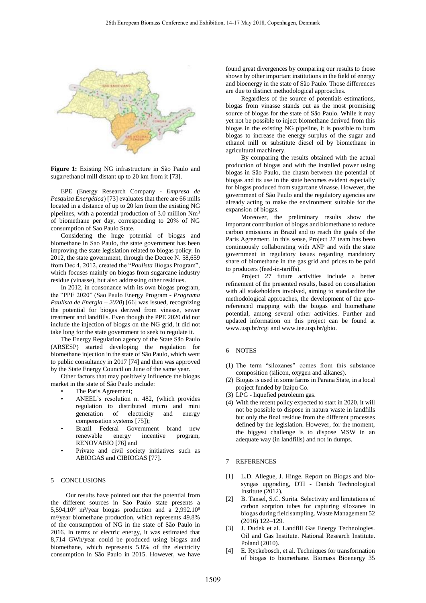

**Figure 1:** Existing NG infrastructure in São Paulo and sugar/ethanol mill distant up to 20 km from it [73].

EPE (Energy Research Company - *Empresa de Pesquisa Energética*) [73] evaluates that there are 66 mills located in a distance of up to 20 km from the existing NG pipelines, with a potential production of 3.0 million Nm<sup>3</sup> of biomethane per day, corresponding to 20% of NG consumption of Sao Paulo State.

Considering the huge potential of biogas and biomethane in Sao Paulo, the state government has been improving the state legislation related to biogas policy. In 2012, the state government, through the Decree N. 58,659 from Dec 4, 2012, created the "*Paulista* Biogas Program", which focuses mainly on biogas from sugarcane industry residue (vinasse), but also addressing other residues.

In 2012, in consonance with its own biogas program, the "PPE 2020" (Sao Paulo Energy Program - *Programa Paulista de Energia – 2020*) [66] was issued, recognizing the potential for biogas derived from vinasse, sewer treatment and landfills. Even though the PPE 2020 did not include the injection of biogas on the NG grid, it did not take long for the state government to seek to regulate it.

The Energy Regulation agency of the State São Paulo (ARSESP) started developing the regulation for biomethane injection in the state of São Paulo, which went to public consultancy in 2017 [74] and then was approved by the State Energy Council on June of the same year.

Other factors that may positively influence the biogas market in the state of São Paulo include:

- The Paris Agreement;
- ANEEL's resolution n. 482, (which provides regulation to distributed micro and mini generation of electricity and energy compensation systems [75]);
- Brazil Federal Government brand new renewable energy incentive program, RENOVABIO [76] and
- Private and civil society initiatives such as ABIOGAS and CIBIOGAS [77].

#### 5 CONCLUSIONS

Our results have pointed out that the potential from the different sources in Sao Paulo state presents a 5,594,10 $^9$  m<sup>3</sup>/year biogas production and a 2,992.10 $^9$ m<sup>3</sup>/year biomethane production, which represents 49.8% of the consumption of NG in the state of São Paulo in 2016. In terms of electric energy, it was estimated that 8,714 GWh/year could be produced using biogas and biomethane, which represents 5.8% of the electricity consumption in São Paulo in 2015. However, we have

found great divergences by comparing our results to those shown by other important institutions in the field of energy and bioenergy in the state of São Paulo. Those differences are due to distinct methodological approaches.

Regardless of the source of potentials estimations, biogas from vinasse stands out as the most promising source of biogas for the state of São Paulo. While it may yet not be possible to inject biomethane derived from this biogas in the existing NG pipeline, it is possible to burn biogas to increase the energy surplus of the sugar and ethanol mill or substitute diesel oil by biomethane in agricultural machinery.

By comparing the results obtained with the actual production of biogas and with the installed power using biogas in São Paulo, the chasm between the potential of biogas and its use in the state becomes evident especially for biogas produced from sugarcane vinasse. However, the government of São Paulo and the regulatory agencies are already acting to make the environment suitable for the expansion of biogas.

Moreover, the preliminary results show the important contribution of biogas and biomethane to reduce carbon emissions in Brazil and to reach the goals of the Paris Agreement. In this sense, Project 27 team has been continuously collaborating with ANP and with the state government in regulatory issues regarding mandatory share of biomethane in the gas grid and prices to be paid to producers (feed-in-tariffs).

Project 27 future activities include a better refinement of the presented results, based on consultation with all stakeholders involved, aiming to standardize the methodological approaches, the development of the georeferenced mapping with the biogas and biomethane potential, among several other activities. Further and updated information on this project can be found at www.usp.br/rcgi and www.iee.usp.br/gbio.

# 6 NOTES

- (1) The term "siloxanes" comes from this substance composition (silicon, oxygen and alkanes).
- (2) Biogas is used in some farms in Parana State, in a local project funded by Itaipu Co.
- (3) LPG liquefied petroleum gas.
- (4) With the recent policy expected to start in 2020, it will not be possible to dispose in natura waste in landfills but only the final residue from the different processes defined by the legislation. However, for the moment, the biggest challenge is to dispose MSW in an adequate way (in landfills) and not in dumps.

#### 7 REFERENCES

- [1] L.D. Allegue, J. Hinge. Report on Biogas and biosyngas upgrading, DTI - Danish Technological Institute (2012).
- [2] B. Tansel, S.C. Surita. Selectivity and limitations of carbon sorption tubes for capturing siloxanes in biogas during field sampling. Waste Management 52 (2016) 122–129.
- [3] J. Dudek et al. Landfill Gas Energy Technologies. Oil and Gas Institute. National Research Institute. Poland (2010).
- [4] E. Ryckebosch, et al. Techniques for transformation of biogas to biomethane. Biomass Bioenergy 35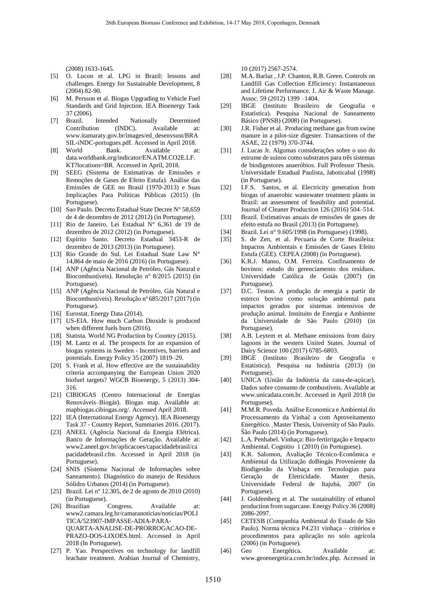(2008) 1633-1645.

- [5] O. Lucon et al. LPG in Brazil: lessons and challenges. Energy for Sustainable Development, 8 (2004) 82-90.
- [6] M. Persson et al. Biogas Upgrading to Vehicle Fuel Standards and Grid Injection. IEA Bioenergy Task 37 (2006).
- [7] Brazil. Intended Nationally Determined Contribution (INDC). Available at: www.itamaraty.gov.br/images/ed\_desenvsust/BRA SIL-iNDC-portugues.pdf. Accessed in April 2018.
- [8] World Bank. Available at: data.worldbank.org/indicator/EN.ATM.CO2E.LF. KT?locations=BR. Accessed in April, 2018.
- [9] SEEG (Sistema de Estimativas de Emissões e Remoções de Gases de Efeito Estufa). Análise das Emissões de GEE no Brasil (1970-2013) e Suas Implicações Para Políticas Públicas (2015) (In Portuguese).
- [10] Sao Paulo. Decreto Estadual State Decree N° 58,659 de 4 de dezembro de 2012 (2012) (in Portuguese).
- [11] Rio de Janeiro. Lei Estadual N° 6,361 de 19 de dezembro de 2012 (2012) (in Portuguese).
- [12] Espírito Santo. Decreto Estadual 3453-R de dezembro de 2013 (2013) (in Portuguese).
- [13] Rio Grande do Sul. Lei Estadual State Law N° 14,864 de maio de 2016 (2016) (in Portuguese).
- [14] ANP (Agência Nacional de Petróleo, Gás Natural e Biocombustíveis). Resolução nº 8/2015 (2015) (in Portuguese).
- [15] ANP (Agência Nacional de Petróleo, Gás Natural e Biocombustíveis). Resolução nº 685/2017 (2017) (in Portuguese).
- [16] Eurostat. Energy Data (2014).
- [17] US-EIA. How much Carbon Dioxide is produced when different fuels burn (2016).
- [18] Statista. World NG Production by Country (2015).
- [19] M. Lantz et al. The prospects for an expansion of biogas systems in Sweden - Incentives, barriers and potentials. Energy Policy 35 (2007) 1819–29.
- [20] S. Frank et al. How effective are the sustainability criteria accompanying the European Union 2020 biofuel targets? WGCB Bioenergy, 5 (2013) 304- 316.
- [21] CIBIOGAS (Centro Internacional de Energias Renováveis–Biogás). Biogas map. Available at: mapbiogas.cibiogas.org/. Accessed April 2018.
- [22] IEA (International Energy Agency). IEA Bioenergy Task 37 - Country Report, Summaries 2016. (2017).
- [23] ANEEL (Agência Nacional da Energia Elétrica). Banco de Informações de Geração. Available at: www2.aneel.gov.br/aplicacoes/capacidadebrasil/ca pacidadebrasil.cfm. Accessed in April 2018 (in Portuguese).
- [24] SNIS (Sistema Nacional de Informações sobre Saneamento). Diagnóstico do manejo de Resíduos Sólidos Urbanos (2014) (in Portuguese).
- [25] Brazil. Lei nº 12.305, de 2 de agosto de 2010 (2010) (in Portuguese).
- [26] Brazilian Congress. Available at: www2.camara.leg.br/camaranoticias/noticias/POLI TICA/523907-IMPASSE-ADIA-PARA-QUARTA-ANALISE-DE-PRORROGACAO-DE-PRAZO-DOS-LIXOES.html. Accessed in April 2018 (In Portuguese).
- [27] P. Yao. Perspectives on technology for landfill leachate treatment. Arabian Journal of Chemistry,

10 (2017) 2567-2574.

- [28] M.A. Barlaz , J.P. Chanton, R.B. Green. Controls on Landfill Gas Collection Efficiency: Instantaneous and Lifetime Performance. J. Air & Waste Manage. Assoc. 59 (2012) 1399 –1404.
- [29] IBGE (Instituto Brasileiro de Geografia e Estatística). Pesquisa Nacional de Saneamento Básico (PNSB) (2008) (in Portuguese).
- [30] J.R. Fisher et al. Producing methane gas from swine manure in a pilot-size digester. Transactions of the ASAE, 22 (1979) 370-3744.
- [31] J. Lucas Jr. Algumas considerações sobre o uso do estrume de suínos como substratos para três sistemas de biodigestores anaeróbios. Full Professor Thesis. Universidade Estadual Paulista, Jaboticabal (1998) (in Portuguese).
- [32] I.F.S. Santos, et al. Electricity generation from biogas of anaerobic wastewater treatment plants in Brazil: an assessment of feasibility and potential. Journal of Cleaner Production 126 (2016) 504–514.
- [33] Brazil. Estimativas anuais de emissões de gases de efeito estufa no Brasil (2013) (in Portuguese).
- [34] Brazil. Lei n° 9.605/1998 (in Portuguese) (1998).
- [35] S. de Zen, et al. Pecuaria de Corte Brasileira: Impactos Ambientais e Emissões de Gases Efeito Estufa (GEE). CEPEA (2008) (in Portuguese).
- [36] K.R.J. Manso, O.M. Ferreira. Confinamento de bovinos: estudo do gerenciamento dos resíduos. Universidade Católica de Goiás (2007) (in Portuguese).
- [37] D.C. Teston. A produção de energia a partir de esterco bovino como solução ambiental para impactos gerados por sistemas intensivos de produção animal. Instituito de Energia e Ambiente da Universidade de São Paulo (2010) (in Portuguese).
- [38] A.B. Leytem et al. Methane emissions from dairy lagoons in the western United States. Journal of Dairy Science 100 (2017) 6785-6803.
- [39] IBGE (Instituto Brasileiro de Geografia e Estatística). Pesquisa na Indústria (2013) (in Portuguese).
- [40] UNICA (União da Indústria da cana-de-açúcar), Dados sobre consumo de combustíveis. Available at www.unicadata.com.br. Accessed in April 2018 (in Portuguese).
- [41] M.M.R. Poveda. Análise Economica e Ambiental do Processamento da Vinhaĉ a com Aproveitamento Energético. ̧Master Thesis, University of São Paulo. Ŝão Paulo (2014) (in Portuguese).
- [42] L.A. Penhabel. Vinhaça: Bio-fertirrigação e Impacto Ambiental. Cognitio 1 (2010) (in Portuguese).
- [43] K.R. Salomon, Avaliação Técnico-Econômica e Ambiental da Utilização doBiogás Proveniente da Biodigestão da Vinhaça em Tecnologias para Geração de Eletricidade. Master thesis, Universidade Federal de Itajubá, 2007 (in Portuguese).
- [44] J. Goldemberg et al. The sustainability of ethanol production from sugarcane. Energy Policy 36 (2008) 2086-2097.
- [45] CETESB (Companhia Ambiental do Estado de São Paulo). Norma técnica P4.231 vinhaça – critérios e procedimentos para aplicação no solo agrícola (2006) (in Portuguese).
- [46] Geo Energética. Available at: www.geoenergetica.com.br/index.php. Accessed in